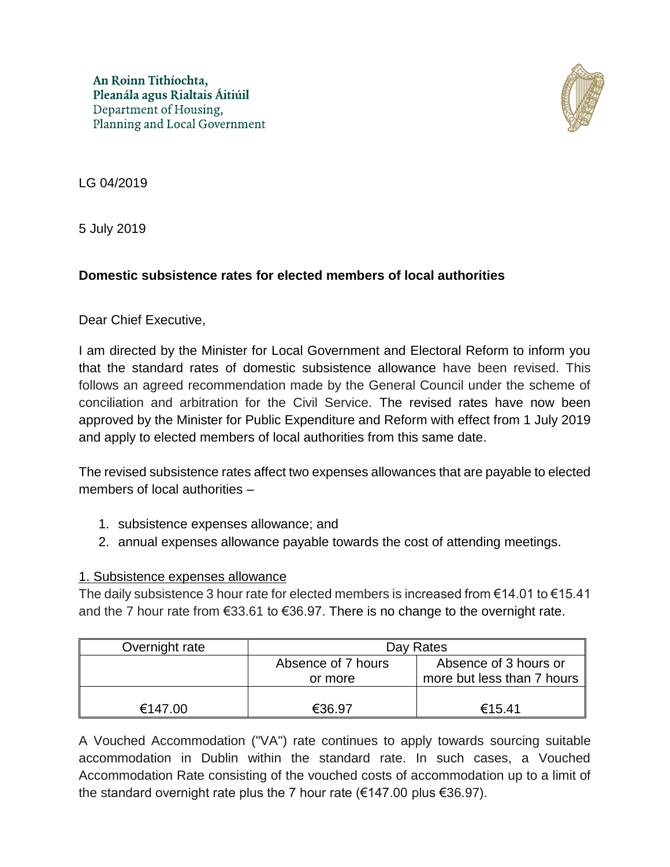

LG 04/2019

5 July 2019

## **Domestic subsistence rates for elected members of local authorities**

Dear Chief Executive,

I am directed by the Minister for Local Government and Electoral Reform to inform you that the standard rates of domestic subsistence allowance have been revised. This follows an agreed recommendation made by the General Council under the scheme of conciliation and arbitration for the Civil Service. The revised rates have now been approved by the Minister for Public Expenditure and Reform with effect from 1 July 2019 and apply to elected members of local authorities from this same date.

The revised subsistence rates affect two expenses allowances that are payable to elected members of local authorities –

- 1. subsistence expenses allowance; and
- 2. annual expenses allowance payable towards the cost of attending meetings.

## 1. Subsistence expenses allowance

The daily subsistence 3 hour rate for elected members is increased from  $\epsilon$ 14.01 to  $\epsilon$ 15.41 and the 7 hour rate from €33.61 to €36.97. There is no change to the overnight rate.

| Overnight rate | Day Rates          |                                        |
|----------------|--------------------|----------------------------------------|
|                | Absence of 7 hours | Absence of 3 hours or                  |
|                | or more            | more but less than 7 hours $\parallel$ |
|                |                    |                                        |
| €147.00        | €36.97             | €15.41                                 |

A Vouched Accommodation ("VA") rate continues to apply towards sourcing suitable accommodation in Dublin within the standard rate. In such cases, a Vouched Accommodation Rate consisting of the vouched costs of accommodation up to a limit of the standard overnight rate plus the 7 hour rate ( $€147.00$  plus  $€36.97$ ).